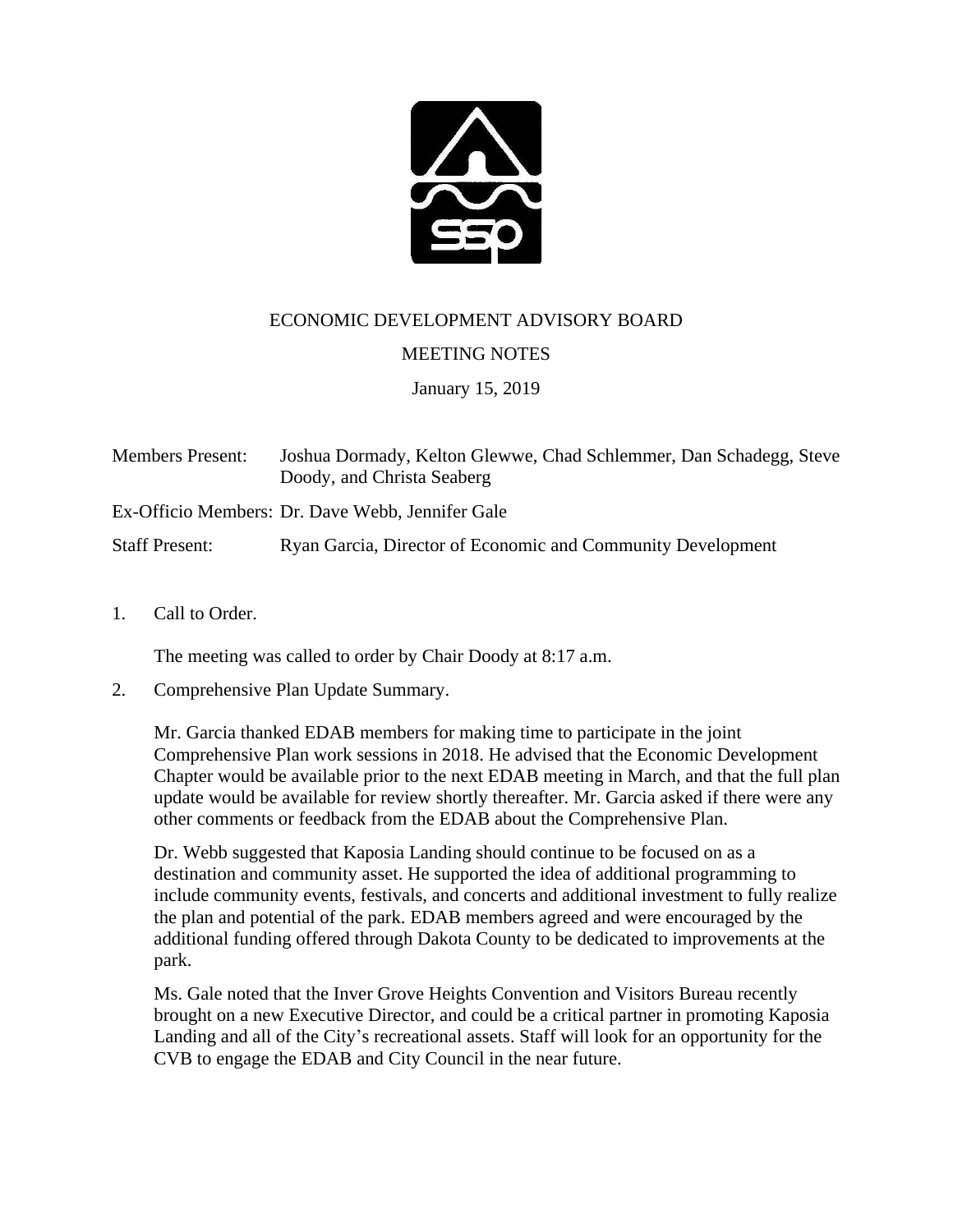

ECONOMIC DEVELOPMENT ADVISORY BOARD

## MEETING NOTES

January 15, 2019

Members Present: Joshua Dormady, Kelton Glewwe, Chad Schlemmer, Dan Schadegg, Steve Doody, and Christa Seaberg

Ex-Officio Members: Dr. Dave Webb, Jennifer Gale

Staff Present: Ryan Garcia, Director of Economic and Community Development

1. Call to Order.

The meeting was called to order by Chair Doody at 8:17 a.m.

2. Comprehensive Plan Update Summary.

Mr. Garcia thanked EDAB members for making time to participate in the joint Comprehensive Plan work sessions in 2018. He advised that the Economic Development Chapter would be available prior to the next EDAB meeting in March, and that the full plan update would be available for review shortly thereafter. Mr. Garcia asked if there were any other comments or feedback from the EDAB about the Comprehensive Plan.

Dr. Webb suggested that Kaposia Landing should continue to be focused on as a destination and community asset. He supported the idea of additional programming to include community events, festivals, and concerts and additional investment to fully realize the plan and potential of the park. EDAB members agreed and were encouraged by the additional funding offered through Dakota County to be dedicated to improvements at the park.

Ms. Gale noted that the Inver Grove Heights Convention and Visitors Bureau recently brought on a new Executive Director, and could be a critical partner in promoting Kaposia Landing and all of the City's recreational assets. Staff will look for an opportunity for the CVB to engage the EDAB and City Council in the near future.